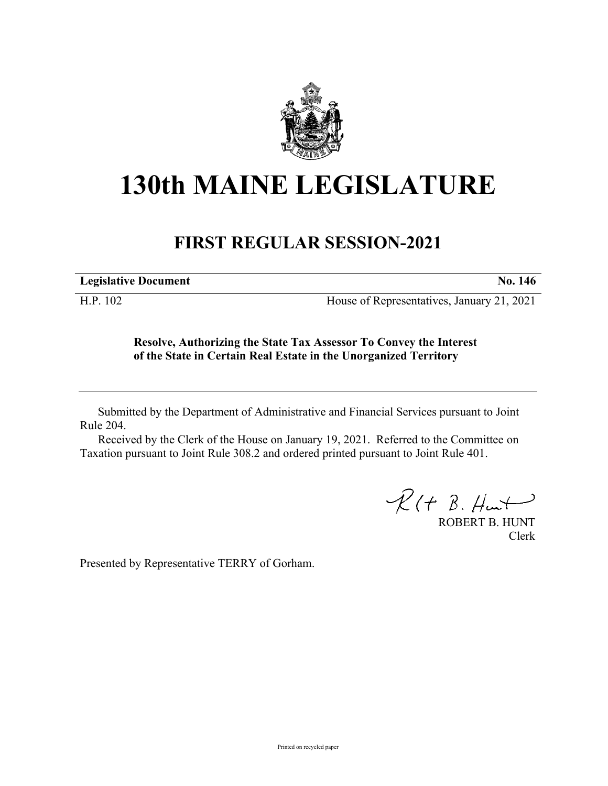

## **130th MAINE LEGISLATURE**

## **FIRST REGULAR SESSION-2021**

**Legislative Document No. 146**

H.P. 102 House of Representatives, January 21, 2021

**Resolve, Authorizing the State Tax Assessor To Convey the Interest of the State in Certain Real Estate in the Unorganized Territory**

Submitted by the Department of Administrative and Financial Services pursuant to Joint Rule 204.

Received by the Clerk of the House on January 19, 2021. Referred to the Committee on Taxation pursuant to Joint Rule 308.2 and ordered printed pursuant to Joint Rule 401.

 $R(H B. H<sub>ur</sub>)$ 

ROBERT B. HUNT Clerk

Presented by Representative TERRY of Gorham.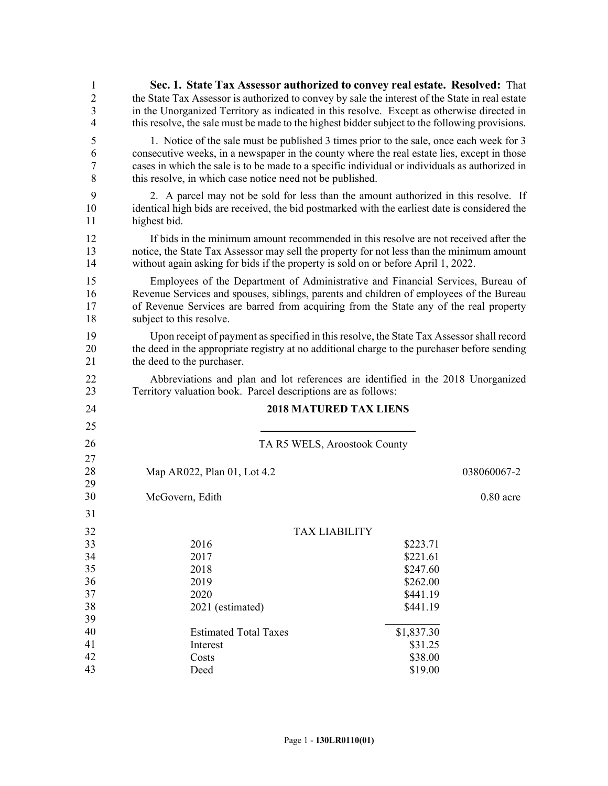| 1<br>$\overline{2}$<br>3<br>$\overline{4}$ | Sec. 1. State Tax Assessor authorized to convey real estate. Resolved: That<br>the State Tax Assessor is authorized to convey by sale the interest of the State in real estate<br>in the Unorganized Territory as indicated in this resolve. Except as otherwise directed in<br>this resolve, the sale must be made to the highest bidder subject to the following provisions. |                                                                                     |
|--------------------------------------------|--------------------------------------------------------------------------------------------------------------------------------------------------------------------------------------------------------------------------------------------------------------------------------------------------------------------------------------------------------------------------------|-------------------------------------------------------------------------------------|
| 5<br>6<br>7<br>8                           | 1. Notice of the sale must be published 3 times prior to the sale, once each week for 3<br>consecutive weeks, in a newspaper in the county where the real estate lies, except in those<br>cases in which the sale is to be made to a specific individual or individuals as authorized in<br>this resolve, in which case notice need not be published.                          |                                                                                     |
| 9<br>10<br>11                              | identical high bids are received, the bid postmarked with the earliest date is considered the<br>highest bid.                                                                                                                                                                                                                                                                  | 2. A parcel may not be sold for less than the amount authorized in this resolve. If |
| 12<br>13<br>14                             | If bids in the minimum amount recommended in this resolve are not received after the<br>notice, the State Tax Assessor may sell the property for not less than the minimum amount<br>without again asking for bids if the property is sold on or before April 1, 2022.                                                                                                         |                                                                                     |
| 15<br>16<br>17<br>18                       | Employees of the Department of Administrative and Financial Services, Bureau of<br>Revenue Services and spouses, siblings, parents and children of employees of the Bureau<br>of Revenue Services are barred from acquiring from the State any of the real property<br>subject to this resolve.                                                                                |                                                                                     |
| 19<br>20<br>21                             | Upon receipt of payment as specified in this resolve, the State Tax Assessor shall record<br>the deed in the appropriate registry at no additional charge to the purchaser before sending<br>the deed to the purchaser.                                                                                                                                                        |                                                                                     |
| 22<br>23                                   | Abbreviations and plan and lot references are identified in the 2018 Unorganized<br>Territory valuation book. Parcel descriptions are as follows:                                                                                                                                                                                                                              |                                                                                     |
| 24                                         | <b>2018 MATURED TAX LIENS</b>                                                                                                                                                                                                                                                                                                                                                  |                                                                                     |
| 25                                         |                                                                                                                                                                                                                                                                                                                                                                                |                                                                                     |
| 26                                         | TA R5 WELS, Aroostook County                                                                                                                                                                                                                                                                                                                                                   |                                                                                     |
| 27<br>28<br>29                             | Map AR022, Plan 01, Lot 4.2                                                                                                                                                                                                                                                                                                                                                    | 038060067-2                                                                         |
| 30                                         | McGovern, Edith                                                                                                                                                                                                                                                                                                                                                                | $0.80$ acre                                                                         |
| 31                                         |                                                                                                                                                                                                                                                                                                                                                                                |                                                                                     |
| 32                                         | <b>TAX LIABILITY</b>                                                                                                                                                                                                                                                                                                                                                           |                                                                                     |
| 33                                         | 2016                                                                                                                                                                                                                                                                                                                                                                           | \$223.71                                                                            |
| 34                                         | 2017                                                                                                                                                                                                                                                                                                                                                                           | \$221.61                                                                            |
| 35                                         | 2018                                                                                                                                                                                                                                                                                                                                                                           | \$247.60                                                                            |
| 36                                         | 2019                                                                                                                                                                                                                                                                                                                                                                           | \$262.00                                                                            |
| 37                                         | 2020                                                                                                                                                                                                                                                                                                                                                                           | \$441.19                                                                            |
| 38<br>39                                   | 2021 (estimated)                                                                                                                                                                                                                                                                                                                                                               | \$441.19                                                                            |
| 40                                         | <b>Estimated Total Taxes</b>                                                                                                                                                                                                                                                                                                                                                   | \$1,837.30                                                                          |
| 41                                         | Interest                                                                                                                                                                                                                                                                                                                                                                       | \$31.25                                                                             |
| 42                                         | Costs                                                                                                                                                                                                                                                                                                                                                                          | \$38.00                                                                             |
| 43                                         | Deed                                                                                                                                                                                                                                                                                                                                                                           | \$19.00                                                                             |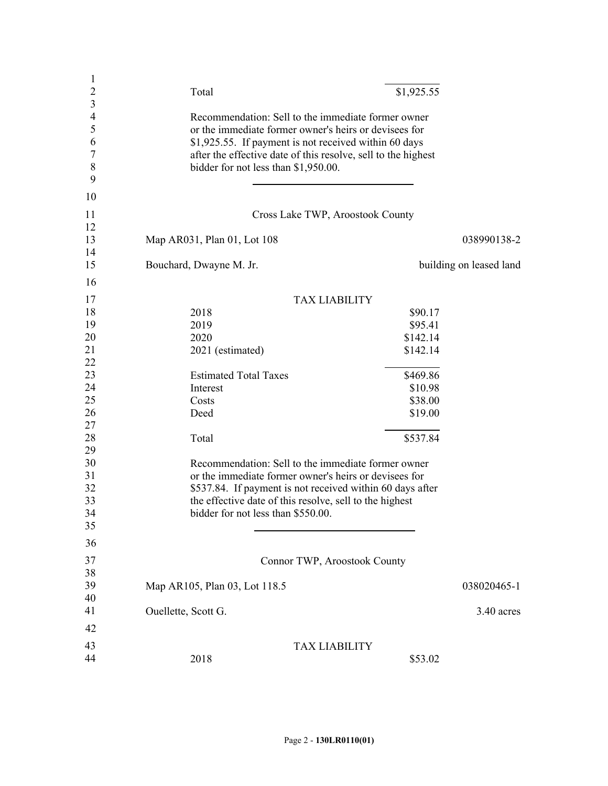| $\mathbf{1}$   |                                                               |                                  |             |
|----------------|---------------------------------------------------------------|----------------------------------|-------------|
| $\overline{2}$ | Total                                                         | \$1,925.55                       |             |
| $\overline{3}$ |                                                               |                                  |             |
| $\overline{4}$ | Recommendation: Sell to the immediate former owner            |                                  |             |
| 5              | or the immediate former owner's heirs or devisees for         |                                  |             |
| 6              | \$1,925.55. If payment is not received within 60 days         |                                  |             |
| 7              | after the effective date of this resolve, sell to the highest |                                  |             |
| 8              | bidder for not less than \$1,950.00.                          |                                  |             |
| 9              |                                                               |                                  |             |
| 10             |                                                               |                                  |             |
| 11             |                                                               | Cross Lake TWP, Aroostook County |             |
| 12             |                                                               |                                  |             |
| 13             | Map AR031, Plan 01, Lot 108                                   |                                  | 038990138-2 |
| 14             |                                                               |                                  |             |
| 15             | Bouchard, Dwayne M. Jr.                                       | building on leased land          |             |
| 16             |                                                               |                                  |             |
| 17             |                                                               | <b>TAX LIABILITY</b>             |             |
| 18             | 2018                                                          | \$90.17                          |             |
| 19             | 2019                                                          | \$95.41                          |             |
| 20             | 2020                                                          | \$142.14                         |             |
| 21             | 2021 (estimated)                                              | \$142.14                         |             |
| 22             |                                                               |                                  |             |
| 23             | <b>Estimated Total Taxes</b>                                  | \$469.86                         |             |
| 24             | Interest                                                      | \$10.98                          |             |
| 25             | Costs                                                         | \$38.00                          |             |
| 26             | Deed                                                          | \$19.00                          |             |
| 27             |                                                               |                                  |             |
| 28             | Total                                                         | \$537.84                         |             |
| 29             |                                                               |                                  |             |
| 30             | Recommendation: Sell to the immediate former owner            |                                  |             |
| 31             | or the immediate former owner's heirs or devisees for         |                                  |             |
| 32             | \$537.84. If payment is not received within 60 days after     |                                  |             |
| 33             | the effective date of this resolve, sell to the highest       |                                  |             |
| 34             | bidder for not less than \$550.00.                            |                                  |             |
| 35             |                                                               |                                  |             |
| 36             |                                                               |                                  |             |
| 37             |                                                               | Connor TWP, Aroostook County     |             |
| 38             |                                                               |                                  |             |
| 39             | Map AR105, Plan 03, Lot 118.5                                 |                                  | 038020465-1 |
| 40             |                                                               |                                  |             |
| 41             | Ouellette, Scott G.                                           |                                  | 3.40 acres  |
| 42             |                                                               |                                  |             |
|                |                                                               |                                  |             |
| 43             |                                                               | <b>TAX LIABILITY</b>             |             |
| 44             | 2018                                                          | \$53.02                          |             |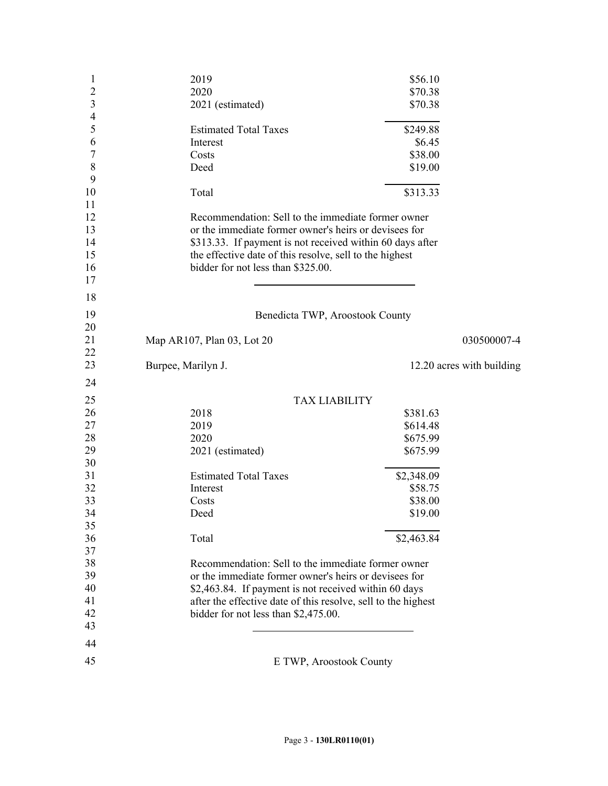| 1              | 2019                                                          | \$56.10                         |
|----------------|---------------------------------------------------------------|---------------------------------|
| $\overline{2}$ | 2020                                                          | \$70.38                         |
| $\mathfrak{Z}$ | 2021 (estimated)                                              | \$70.38                         |
| $\overline{4}$ |                                                               |                                 |
| 5              | <b>Estimated Total Taxes</b>                                  | \$249.88                        |
| 6              | Interest                                                      | \$6.45                          |
| $\tau$         | Costs                                                         | \$38.00                         |
| $\,$ $\,$      | Deed                                                          | \$19.00                         |
| 9              |                                                               |                                 |
| 10             | Total                                                         | \$313.33                        |
| 11             |                                                               |                                 |
| 12             | Recommendation: Sell to the immediate former owner            |                                 |
| 13             | or the immediate former owner's heirs or devisees for         |                                 |
| 14             | \$313.33. If payment is not received within 60 days after     |                                 |
| 15             | the effective date of this resolve, sell to the highest       |                                 |
| 16             | bidder for not less than \$325.00.                            |                                 |
| 17             |                                                               |                                 |
| 18             |                                                               |                                 |
| 19             |                                                               | Benedicta TWP, Aroostook County |
| 20             |                                                               |                                 |
| 21             | Map AR107, Plan 03, Lot 20                                    | 030500007-4                     |
| 22             |                                                               |                                 |
| 23             | Burpee, Marilyn J.                                            | 12.20 acres with building       |
| 24             |                                                               |                                 |
| 25             |                                                               | <b>TAX LIABILITY</b>            |
| 26             | 2018                                                          | \$381.63                        |
| 27             | 2019                                                          | \$614.48                        |
| 28             | 2020                                                          | \$675.99                        |
| 29             | 2021 (estimated)                                              | \$675.99                        |
| 30             |                                                               |                                 |
| 31             | <b>Estimated Total Taxes</b>                                  | \$2,348.09                      |
| 32             | Interest                                                      | \$58.75                         |
| 33             | Costs                                                         | \$38.00                         |
| 34             | Deed                                                          | \$19.00                         |
| 35             |                                                               |                                 |
| 36             | Total                                                         | \$2,463.84                      |
| 37             |                                                               |                                 |
| 38             | Recommendation: Sell to the immediate former owner            |                                 |
| 39             | or the immediate former owner's heirs or devisees for         |                                 |
| 40             | \$2,463.84. If payment is not received within 60 days         |                                 |
| 41             | after the effective date of this resolve, sell to the highest |                                 |
| 42             | bidder for not less than \$2,475.00.                          |                                 |
| 43             |                                                               |                                 |
|                |                                                               |                                 |
| 44             |                                                               |                                 |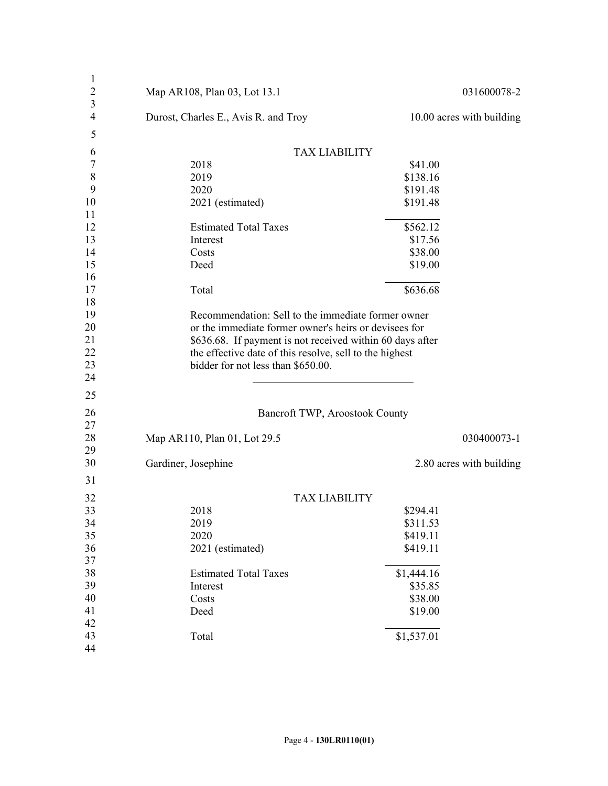| $\overline{2}$<br>3 | Map AR108, Plan 03, Lot 13.1                              | 031600078-2               |
|---------------------|-----------------------------------------------------------|---------------------------|
| 4                   | Durost, Charles E., Avis R. and Troy                      | 10.00 acres with building |
| 5                   |                                                           |                           |
| 6                   | <b>TAX LIABILITY</b>                                      |                           |
| 7                   | 2018                                                      | \$41.00                   |
| 8                   | 2019                                                      | \$138.16                  |
| 9                   | 2020                                                      | \$191.48                  |
| 10                  | 2021 (estimated)                                          | \$191.48                  |
| 11                  |                                                           |                           |
| 12                  | <b>Estimated Total Taxes</b>                              | \$562.12                  |
| 13                  | Interest                                                  | \$17.56                   |
| 14                  | Costs                                                     | \$38.00                   |
| 15                  | Deed                                                      | \$19.00                   |
| 16                  |                                                           |                           |
| 17                  | Total                                                     | \$636.68                  |
| 18                  |                                                           |                           |
| 19                  | Recommendation: Sell to the immediate former owner        |                           |
| 20                  | or the immediate former owner's heirs or devisees for     |                           |
| 21                  | \$636.68. If payment is not received within 60 days after |                           |
| 22                  | the effective date of this resolve, sell to the highest   |                           |
| 23                  | bidder for not less than \$650.00.                        |                           |
| 24                  |                                                           |                           |
| 25                  |                                                           |                           |
| 26                  | Bancroft TWP, Aroostook County                            |                           |
| 27                  |                                                           |                           |
| 28                  |                                                           |                           |
|                     | Map AR110, Plan 01, Lot 29.5                              | 030400073-1               |
| 29                  |                                                           |                           |
| 30                  | Gardiner, Josephine                                       | 2.80 acres with building  |
| 31                  |                                                           |                           |
| 32                  | <b>TAX LIABILITY</b>                                      |                           |
| 33                  | 2018                                                      | \$294.41                  |
| 34                  |                                                           |                           |
|                     | 2019                                                      | \$311.53                  |
| 35                  | 2020                                                      | \$419.11                  |
| 36                  | 2021 (estimated)                                          | \$419.11                  |
| 37                  |                                                           |                           |
| 38                  | <b>Estimated Total Taxes</b>                              | \$1,444.16                |
| 39                  | Interest                                                  | \$35.85                   |
| 40                  | Costs                                                     | \$38.00                   |
| 41                  | Deed                                                      | \$19.00                   |
| 42<br>43            | Total                                                     | \$1,537.01                |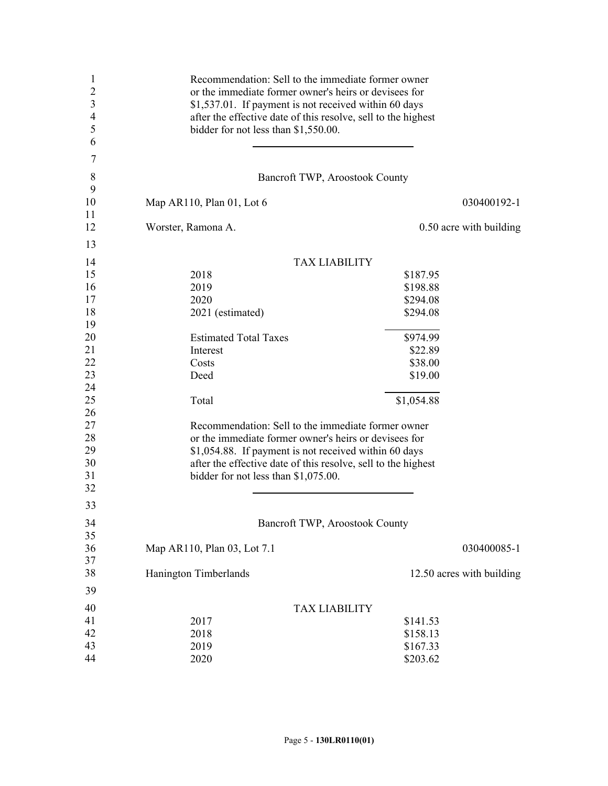| 1<br>$\overline{2}$<br>3<br>$\overline{4}$<br>5<br>6 | Recommendation: Sell to the immediate former owner<br>or the immediate former owner's heirs or devisees for<br>\$1,537.01. If payment is not received within 60 days<br>after the effective date of this resolve, sell to the highest<br>bidder for not less than \$1,550.00. |                                       |
|------------------------------------------------------|-------------------------------------------------------------------------------------------------------------------------------------------------------------------------------------------------------------------------------------------------------------------------------|---------------------------------------|
| 7                                                    |                                                                                                                                                                                                                                                                               |                                       |
| 8                                                    |                                                                                                                                                                                                                                                                               | Bancroft TWP, Aroostook County        |
| 9<br>10<br>11                                        | Map AR110, Plan 01, Lot 6                                                                                                                                                                                                                                                     | 030400192-1                           |
| 12                                                   | Worster, Ramona A.                                                                                                                                                                                                                                                            | 0.50 acre with building               |
| 13                                                   |                                                                                                                                                                                                                                                                               |                                       |
| 14                                                   |                                                                                                                                                                                                                                                                               | <b>TAX LIABILITY</b>                  |
| 15                                                   | 2018                                                                                                                                                                                                                                                                          | \$187.95                              |
| 16                                                   | 2019                                                                                                                                                                                                                                                                          | \$198.88                              |
| 17                                                   | 2020                                                                                                                                                                                                                                                                          | \$294.08                              |
| 18                                                   | 2021 (estimated)                                                                                                                                                                                                                                                              | \$294.08                              |
| 19                                                   |                                                                                                                                                                                                                                                                               |                                       |
| 20                                                   | <b>Estimated Total Taxes</b>                                                                                                                                                                                                                                                  | \$974.99                              |
| 21                                                   | Interest                                                                                                                                                                                                                                                                      | \$22.89                               |
| 22                                                   | Costs                                                                                                                                                                                                                                                                         | \$38.00                               |
| 23                                                   | Deed                                                                                                                                                                                                                                                                          | \$19.00                               |
| 24                                                   |                                                                                                                                                                                                                                                                               |                                       |
| 25                                                   | Total                                                                                                                                                                                                                                                                         | \$1,054.88                            |
| 26                                                   |                                                                                                                                                                                                                                                                               |                                       |
| 27                                                   | Recommendation: Sell to the immediate former owner                                                                                                                                                                                                                            |                                       |
| 28                                                   | or the immediate former owner's heirs or devisees for                                                                                                                                                                                                                         |                                       |
| 29                                                   | \$1,054.88. If payment is not received within 60 days                                                                                                                                                                                                                         |                                       |
| 30                                                   | after the effective date of this resolve, sell to the highest                                                                                                                                                                                                                 |                                       |
| 31                                                   | bidder for not less than \$1,075.00.                                                                                                                                                                                                                                          |                                       |
| 32<br>33                                             |                                                                                                                                                                                                                                                                               |                                       |
| 34                                                   |                                                                                                                                                                                                                                                                               | <b>Bancroft TWP, Aroostook County</b> |
| 35                                                   |                                                                                                                                                                                                                                                                               |                                       |
| 36                                                   | Map AR110, Plan 03, Lot 7.1                                                                                                                                                                                                                                                   | 030400085-1                           |
| 37                                                   |                                                                                                                                                                                                                                                                               |                                       |
| 38                                                   | Hanington Timberlands                                                                                                                                                                                                                                                         | 12.50 acres with building             |
| 39                                                   |                                                                                                                                                                                                                                                                               |                                       |
| 40                                                   |                                                                                                                                                                                                                                                                               | <b>TAX LIABILITY</b>                  |
| 41                                                   | 2017                                                                                                                                                                                                                                                                          | \$141.53                              |
| 42                                                   | 2018                                                                                                                                                                                                                                                                          | \$158.13                              |
| 43                                                   | 2019                                                                                                                                                                                                                                                                          | \$167.33                              |
| 44                                                   | 2020                                                                                                                                                                                                                                                                          | \$203.62                              |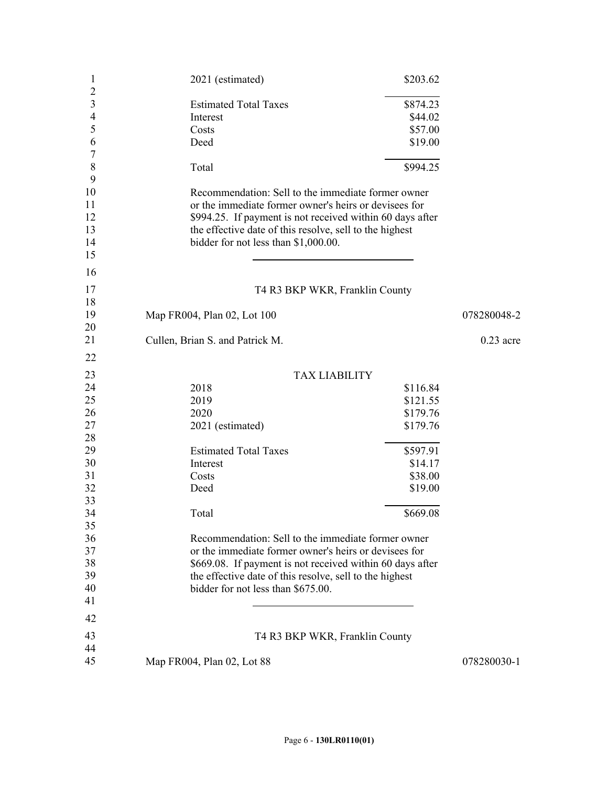| 1<br>$\overline{2}$ | 2021 (estimated)                                          | \$203.62 |             |
|---------------------|-----------------------------------------------------------|----------|-------------|
| $\mathfrak{Z}$      | <b>Estimated Total Taxes</b>                              | \$874.23 |             |
| $\overline{4}$      | Interest                                                  | \$44.02  |             |
| 5                   | Costs                                                     | \$57.00  |             |
| 6                   | Deed                                                      | \$19.00  |             |
| 7                   |                                                           |          |             |
| 8                   | Total                                                     | \$994.25 |             |
| 9                   |                                                           |          |             |
| 10                  | Recommendation: Sell to the immediate former owner        |          |             |
| 11                  | or the immediate former owner's heirs or devisees for     |          |             |
| 12                  | \$994.25. If payment is not received within 60 days after |          |             |
| 13                  | the effective date of this resolve, sell to the highest   |          |             |
| 14                  | bidder for not less than \$1,000.00.                      |          |             |
| 15                  |                                                           |          |             |
| 16                  |                                                           |          |             |
| 17                  | T4 R3 BKP WKR, Franklin County                            |          |             |
| 18                  |                                                           |          |             |
| 19                  | Map FR004, Plan 02, Lot 100                               |          | 078280048-2 |
| 20                  |                                                           |          |             |
| 21                  | Cullen, Brian S. and Patrick M.                           |          | $0.23$ acre |
| 22                  |                                                           |          |             |
| 23                  | <b>TAX LIABILITY</b>                                      |          |             |
| 24                  | 2018                                                      | \$116.84 |             |
| 25                  | 2019                                                      | \$121.55 |             |
| 26                  | 2020                                                      | \$179.76 |             |
| 27                  | 2021 (estimated)                                          | \$179.76 |             |
| 28                  |                                                           |          |             |
| 29                  | <b>Estimated Total Taxes</b>                              | \$597.91 |             |
| 30                  | Interest                                                  | \$14.17  |             |
| 31                  | Costs                                                     | \$38.00  |             |
| 32                  | Deed                                                      | \$19.00  |             |
| 33<br>34            |                                                           |          |             |
| 35                  | Total                                                     | \$669.08 |             |
| 36                  | Recommendation: Sell to the immediate former owner        |          |             |
| 37                  | or the immediate former owner's heirs or devisees for     |          |             |
| 38                  | \$669.08. If payment is not received within 60 days after |          |             |
| 39                  | the effective date of this resolve, sell to the highest   |          |             |
| 40                  | bidder for not less than \$675.00.                        |          |             |
| 41                  |                                                           |          |             |
| 42                  |                                                           |          |             |
| 43                  | T4 R3 BKP WKR, Franklin County                            |          |             |
| 44                  |                                                           |          |             |
| 45                  | Map FR004, Plan 02, Lot 88                                |          | 078280030-1 |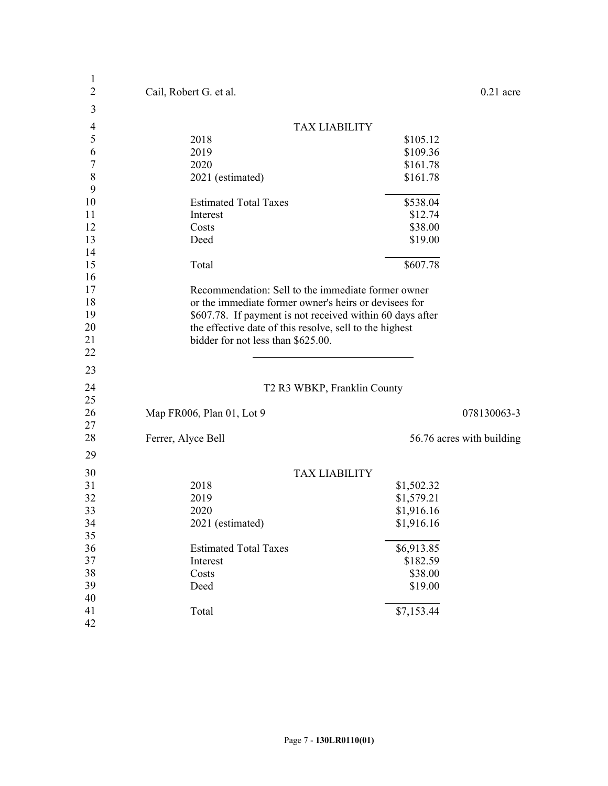| $\mathbf{1}$<br>$\overline{2}$ |                                                           | $0.21$ acre               |
|--------------------------------|-----------------------------------------------------------|---------------------------|
|                                | Cail, Robert G. et al.                                    |                           |
| 3                              |                                                           |                           |
| 4                              | <b>TAX LIABILITY</b>                                      |                           |
| 5                              | 2018                                                      | \$105.12                  |
| 6                              | 2019                                                      | \$109.36                  |
| 7                              | 2020                                                      | \$161.78                  |
| 8<br>9                         | 2021 (estimated)                                          | \$161.78                  |
| 10                             | <b>Estimated Total Taxes</b>                              | \$538.04                  |
| 11                             | Interest                                                  | \$12.74                   |
| 12                             | Costs                                                     | \$38.00                   |
| 13                             | Deed                                                      | \$19.00                   |
| 14                             |                                                           |                           |
| 15                             | Total                                                     | \$607.78                  |
| 16                             |                                                           |                           |
| 17                             | Recommendation: Sell to the immediate former owner        |                           |
| 18                             | or the immediate former owner's heirs or devisees for     |                           |
| 19                             | \$607.78. If payment is not received within 60 days after |                           |
| 20                             | the effective date of this resolve, sell to the highest   |                           |
| 21                             | bidder for not less than \$625.00.                        |                           |
| 22                             |                                                           |                           |
| 23                             |                                                           |                           |
| 24                             | T2 R3 WBKP, Franklin County                               |                           |
| 25                             |                                                           |                           |
| 26                             | Map FR006, Plan 01, Lot 9                                 | 078130063-3               |
| 27                             |                                                           |                           |
| 28                             | Ferrer, Alyce Bell                                        | 56.76 acres with building |
| 29                             |                                                           |                           |
| 30                             | <b>TAX LIABILITY</b>                                      |                           |
| 31                             | 2018                                                      | \$1,502.32                |
| 32                             | 2019                                                      | \$1,579.21                |
| 33                             | 2020                                                      | \$1,916.16                |
| 34                             | 2021 (estimated)                                          | \$1,916.16                |
| 35                             |                                                           |                           |
| 36                             | <b>Estimated Total Taxes</b>                              | \$6,913.85                |
| 37                             | Interest                                                  | \$182.59                  |
| 38                             | Costs                                                     | \$38.00                   |
|                                |                                                           |                           |
| 39                             | Deed                                                      | \$19.00                   |
| 40                             |                                                           |                           |
| 41                             | Total                                                     | \$7,153.44                |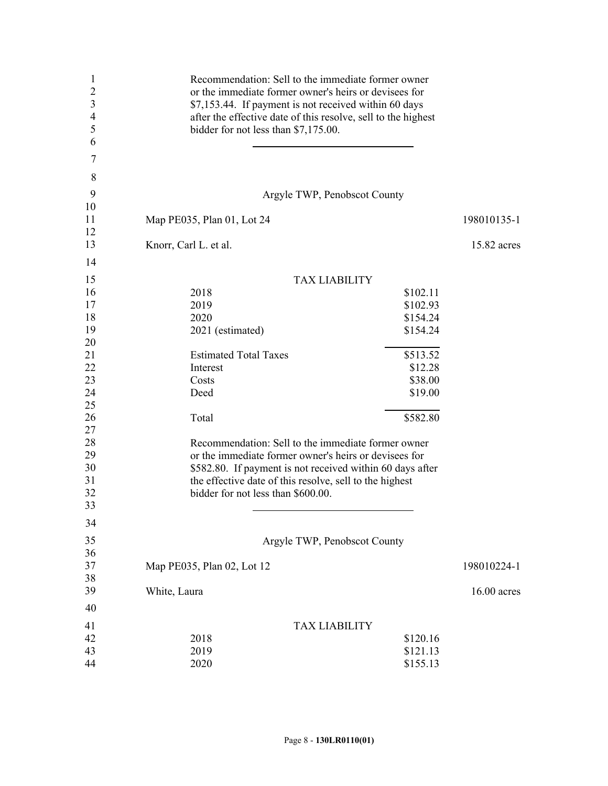| 1<br>$\overline{2}$<br>$\overline{3}$<br>$\overline{4}$<br>5<br>6 | Recommendation: Sell to the immediate former owner<br>or the immediate former owner's heirs or devisees for<br>\$7,153.44. If payment is not received within 60 days<br>after the effective date of this resolve, sell to the highest<br>bidder for not less than \$7,175.00. |                              |             |
|-------------------------------------------------------------------|-------------------------------------------------------------------------------------------------------------------------------------------------------------------------------------------------------------------------------------------------------------------------------|------------------------------|-------------|
| 7<br>8                                                            |                                                                                                                                                                                                                                                                               |                              |             |
| 9                                                                 |                                                                                                                                                                                                                                                                               | Argyle TWP, Penobscot County |             |
| 10                                                                |                                                                                                                                                                                                                                                                               |                              |             |
| 11                                                                | Map PE035, Plan 01, Lot 24                                                                                                                                                                                                                                                    |                              | 198010135-1 |
| 12<br>13                                                          | Knorr, Carl L. et al.                                                                                                                                                                                                                                                         |                              | 15.82 acres |
| 14                                                                |                                                                                                                                                                                                                                                                               |                              |             |
| 15                                                                |                                                                                                                                                                                                                                                                               | <b>TAX LIABILITY</b>         |             |
| 16                                                                | 2018                                                                                                                                                                                                                                                                          | \$102.11                     |             |
| 17                                                                | 2019                                                                                                                                                                                                                                                                          | \$102.93                     |             |
| 18                                                                | 2020                                                                                                                                                                                                                                                                          | \$154.24                     |             |
| 19                                                                | 2021 (estimated)                                                                                                                                                                                                                                                              | \$154.24                     |             |
| 20<br>21                                                          | <b>Estimated Total Taxes</b>                                                                                                                                                                                                                                                  | \$513.52                     |             |
| 22                                                                | Interest                                                                                                                                                                                                                                                                      | \$12.28                      |             |
| 23                                                                | Costs                                                                                                                                                                                                                                                                         | \$38.00                      |             |
| 24                                                                | Deed                                                                                                                                                                                                                                                                          | \$19.00                      |             |
| 25                                                                |                                                                                                                                                                                                                                                                               |                              |             |
| 26                                                                | Total                                                                                                                                                                                                                                                                         | \$582.80                     |             |
| 27                                                                |                                                                                                                                                                                                                                                                               |                              |             |
| 28                                                                | Recommendation: Sell to the immediate former owner                                                                                                                                                                                                                            |                              |             |
| 29                                                                | or the immediate former owner's heirs or devisees for                                                                                                                                                                                                                         |                              |             |
| 30                                                                | \$582.80. If payment is not received within 60 days after                                                                                                                                                                                                                     |                              |             |
| 31                                                                | the effective date of this resolve, sell to the highest                                                                                                                                                                                                                       |                              |             |
| 32                                                                | bidder for not less than \$600.00.                                                                                                                                                                                                                                            |                              |             |
| 33                                                                |                                                                                                                                                                                                                                                                               |                              |             |
| 34                                                                |                                                                                                                                                                                                                                                                               |                              |             |
| 35                                                                |                                                                                                                                                                                                                                                                               | Argyle TWP, Penobscot County |             |
| 36                                                                |                                                                                                                                                                                                                                                                               |                              |             |
| 37                                                                | Map PE035, Plan 02, Lot 12                                                                                                                                                                                                                                                    |                              | 198010224-1 |
| 38                                                                |                                                                                                                                                                                                                                                                               |                              |             |
| 39                                                                | White, Laura                                                                                                                                                                                                                                                                  |                              | 16.00 acres |
| 40                                                                |                                                                                                                                                                                                                                                                               |                              |             |
| 41                                                                |                                                                                                                                                                                                                                                                               | <b>TAX LIABILITY</b>         |             |
| 42                                                                | 2018                                                                                                                                                                                                                                                                          | \$120.16                     |             |
| 43                                                                | 2019                                                                                                                                                                                                                                                                          | \$121.13                     |             |
| 44                                                                | 2020                                                                                                                                                                                                                                                                          | \$155.13                     |             |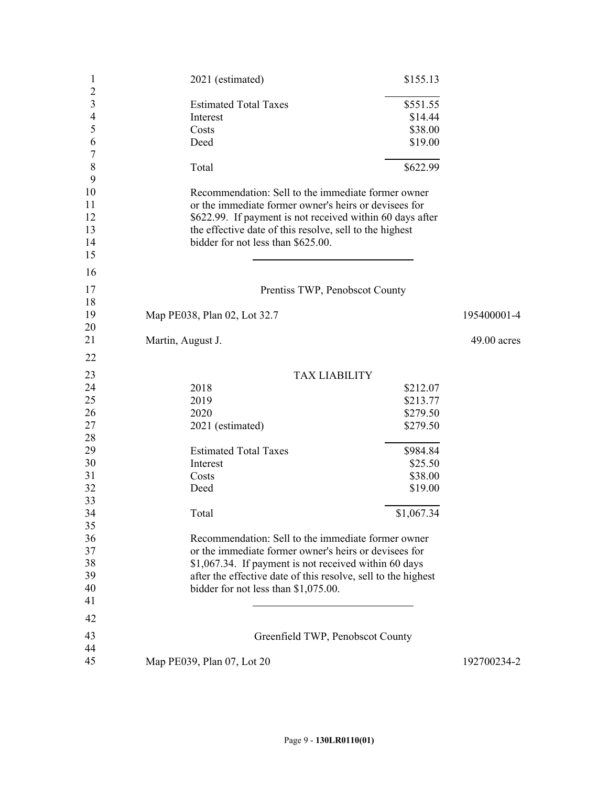| 1<br>$\overline{2}$ | 2021 (estimated)                                              | \$155.13   |               |
|---------------------|---------------------------------------------------------------|------------|---------------|
| 3                   | <b>Estimated Total Taxes</b>                                  | \$551.55   |               |
| $\overline{4}$      | Interest                                                      | \$14.44    |               |
| 5                   | Costs                                                         | \$38.00    |               |
| 6                   | Deed                                                          | \$19.00    |               |
| 7                   |                                                               |            |               |
| 8                   | Total                                                         | \$622.99   |               |
| 9                   |                                                               |            |               |
| 10                  | Recommendation: Sell to the immediate former owner            |            |               |
| 11                  | or the immediate former owner's heirs or devisees for         |            |               |
| 12                  | \$622.99. If payment is not received within 60 days after     |            |               |
| 13                  | the effective date of this resolve, sell to the highest       |            |               |
| 14                  | bidder for not less than \$625.00.                            |            |               |
| 15                  |                                                               |            |               |
| 16                  |                                                               |            |               |
| 17                  | Prentiss TWP, Penobscot County                                |            |               |
| 18                  |                                                               |            |               |
| 19                  | Map PE038, Plan 02, Lot 32.7                                  |            | 195400001-4   |
| 20<br>21            | Martin, August J.                                             |            | $49.00$ acres |
|                     |                                                               |            |               |
| 22                  |                                                               |            |               |
| 23                  | <b>TAX LIABILITY</b>                                          |            |               |
| 24                  | 2018                                                          | \$212.07   |               |
| 25                  | 2019                                                          | \$213.77   |               |
| 26                  | 2020                                                          | \$279.50   |               |
| 27<br>28            | 2021 (estimated)                                              | \$279.50   |               |
| 29                  | <b>Estimated Total Taxes</b>                                  | \$984.84   |               |
| 30                  | Interest                                                      | \$25.50    |               |
| 31                  | Costs                                                         | \$38.00    |               |
| 32                  | Deed                                                          | \$19.00    |               |
| 33                  |                                                               |            |               |
| 34                  | Total                                                         | \$1,067.34 |               |
| 35                  |                                                               |            |               |
| 36                  | Recommendation: Sell to the immediate former owner            |            |               |
| 37                  | or the immediate former owner's heirs or devisees for         |            |               |
| 38                  | \$1,067.34. If payment is not received within 60 days         |            |               |
| 39                  | after the effective date of this resolve, sell to the highest |            |               |
| 40                  | bidder for not less than \$1,075.00.                          |            |               |
| 41                  |                                                               |            |               |
| 42                  |                                                               |            |               |
| 43                  | Greenfield TWP, Penobscot County                              |            |               |
| 44                  |                                                               |            |               |
| 45                  | Map PE039, Plan 07, Lot 20                                    |            | 192700234-2   |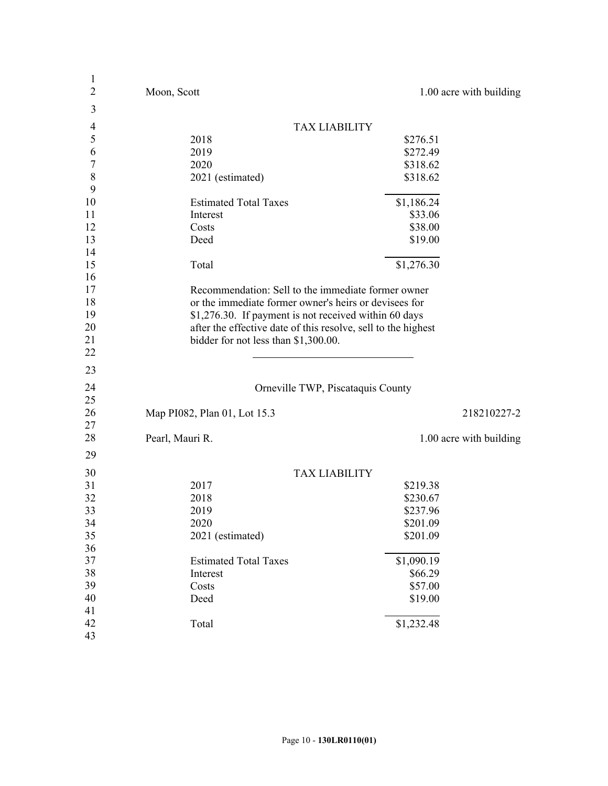| $\mathbf{1}$<br>$\overline{2}$ | Moon, Scott                                                   | 1.00 acre with building |  |
|--------------------------------|---------------------------------------------------------------|-------------------------|--|
| 3                              |                                                               |                         |  |
| 4                              | <b>TAX LIABILITY</b>                                          |                         |  |
| 5                              | 2018                                                          | \$276.51                |  |
| 6                              | 2019                                                          | \$272.49                |  |
| 7                              | 2020                                                          | \$318.62                |  |
| 8                              | 2021 (estimated)                                              | \$318.62                |  |
| 9                              |                                                               |                         |  |
| 10                             | <b>Estimated Total Taxes</b>                                  | \$1,186.24              |  |
| 11                             | Interest                                                      | \$33.06                 |  |
| 12                             | Costs                                                         | \$38.00                 |  |
| 13                             | Deed                                                          | \$19.00                 |  |
| 14                             |                                                               |                         |  |
| 15                             |                                                               |                         |  |
|                                | Total                                                         | \$1,276.30              |  |
| 16                             |                                                               |                         |  |
| 17                             | Recommendation: Sell to the immediate former owner            |                         |  |
| 18                             | or the immediate former owner's heirs or devisees for         |                         |  |
| 19                             | \$1,276.30. If payment is not received within 60 days         |                         |  |
| 20                             | after the effective date of this resolve, sell to the highest |                         |  |
| 21                             | bidder for not less than \$1,300.00.                          |                         |  |
| 22                             |                                                               |                         |  |
| 23                             |                                                               |                         |  |
| 24                             | Orneville TWP, Piscataquis County                             |                         |  |
| 25                             |                                                               |                         |  |
| 26                             | Map PI082, Plan 01, Lot 15.3                                  | 218210227-2             |  |
| 27                             |                                                               |                         |  |
| 28                             | Pearl, Mauri R.                                               | 1.00 acre with building |  |
| 29                             |                                                               |                         |  |
| 30                             | <b>TAX LIABILITY</b>                                          |                         |  |
| 31                             | 2017                                                          | \$219.38                |  |
| 32                             | 2018                                                          | \$230.67                |  |
| 33                             |                                                               |                         |  |
|                                | 2019                                                          | \$237.96                |  |
| 34                             | 2020                                                          | \$201.09                |  |
| 35                             | 2021 (estimated)                                              | \$201.09                |  |
| 36                             |                                                               |                         |  |
| 37                             | <b>Estimated Total Taxes</b>                                  | \$1,090.19              |  |
| 38                             | Interest                                                      | \$66.29                 |  |
| 39                             | Costs                                                         | \$57.00                 |  |
| 40                             | Deed                                                          | \$19.00                 |  |
| 41                             |                                                               |                         |  |
| 42                             | Total                                                         | \$1,232.48              |  |
| 43                             |                                                               |                         |  |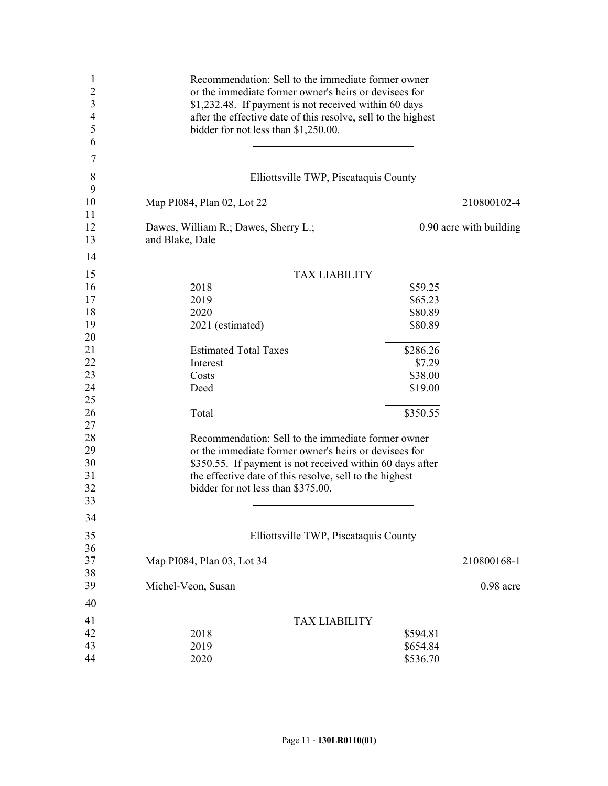| 1<br>$\overline{2}$ | Recommendation: Sell to the immediate former owner<br>or the immediate former owner's heirs or devisees for |                         |  |
|---------------------|-------------------------------------------------------------------------------------------------------------|-------------------------|--|
| 3                   | \$1,232.48. If payment is not received within 60 days                                                       |                         |  |
| $\overline{4}$<br>5 | after the effective date of this resolve, sell to the highest                                               |                         |  |
| 6                   | bidder for not less than \$1,250.00.                                                                        |                         |  |
| 7                   |                                                                                                             |                         |  |
| 8                   | Elliottsville TWP, Piscataquis County                                                                       |                         |  |
| 9                   |                                                                                                             |                         |  |
| 10                  | Map PI084, Plan 02, Lot 22                                                                                  | 210800102-4             |  |
| 11                  |                                                                                                             |                         |  |
| 12                  | Dawes, William R.; Dawes, Sherry L.;                                                                        | 0.90 acre with building |  |
| 13                  | and Blake, Dale                                                                                             |                         |  |
| 14                  |                                                                                                             |                         |  |
| 15                  | <b>TAX LIABILITY</b>                                                                                        |                         |  |
| 16                  | 2018                                                                                                        | \$59.25                 |  |
| 17                  | 2019                                                                                                        | \$65.23                 |  |
| 18                  | 2020                                                                                                        | \$80.89                 |  |
| 19                  | 2021 (estimated)                                                                                            | \$80.89                 |  |
| 20                  |                                                                                                             |                         |  |
| 21                  | <b>Estimated Total Taxes</b>                                                                                | \$286.26                |  |
| 22                  | Interest                                                                                                    | \$7.29                  |  |
| 23                  | Costs                                                                                                       | \$38.00                 |  |
| 24                  | Deed                                                                                                        | \$19.00                 |  |
| 25                  |                                                                                                             |                         |  |
| 26                  | Total                                                                                                       | \$350.55                |  |
| 27                  |                                                                                                             |                         |  |
| 28                  | Recommendation: Sell to the immediate former owner                                                          |                         |  |
| 29                  | or the immediate former owner's heirs or devisees for                                                       |                         |  |
| 30                  | \$350.55. If payment is not received within 60 days after                                                   |                         |  |
| 31                  | the effective date of this resolve, sell to the highest                                                     |                         |  |
| 32                  | bidder for not less than \$375.00.                                                                          |                         |  |
| 33                  |                                                                                                             |                         |  |
| 34                  |                                                                                                             |                         |  |
| 35                  | Elliottsville TWP, Piscataquis County                                                                       |                         |  |
| 36                  |                                                                                                             |                         |  |
| 37                  | Map PI084, Plan 03, Lot 34                                                                                  | 210800168-1             |  |
| 38                  |                                                                                                             |                         |  |
| 39                  | Michel-Veon, Susan                                                                                          | $0.98$ acre             |  |
| 40                  |                                                                                                             |                         |  |
| 41                  | <b>TAX LIABILITY</b>                                                                                        |                         |  |
| 42                  | 2018                                                                                                        | \$594.81                |  |
| 43                  | 2019                                                                                                        | \$654.84                |  |
| 44                  | 2020                                                                                                        | \$536.70                |  |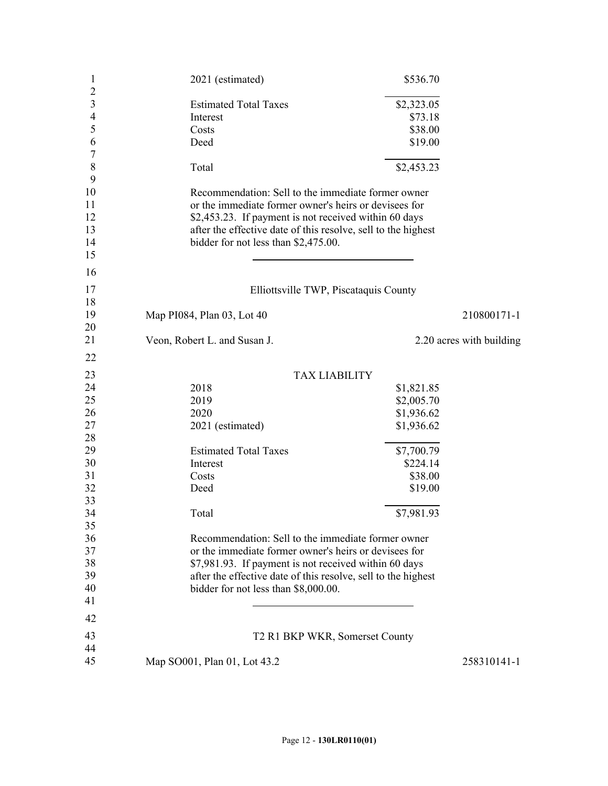| 1<br>2         | 2021 (estimated)                                              | \$536.70   |                          |
|----------------|---------------------------------------------------------------|------------|--------------------------|
| 3              | <b>Estimated Total Taxes</b>                                  | \$2,323.05 |                          |
| $\overline{4}$ | Interest                                                      | \$73.18    |                          |
| 5              | Costs                                                         | \$38.00    |                          |
| 6              | Deed                                                          | \$19.00    |                          |
| 7              |                                                               |            |                          |
| $\,$ $\,$      | Total                                                         | \$2,453.23 |                          |
| 9              |                                                               |            |                          |
| 10             | Recommendation: Sell to the immediate former owner            |            |                          |
| 11             | or the immediate former owner's heirs or devisees for         |            |                          |
| 12             | \$2,453.23. If payment is not received within 60 days         |            |                          |
| 13             | after the effective date of this resolve, sell to the highest |            |                          |
| 14             | bidder for not less than \$2,475.00.                          |            |                          |
| 15             |                                                               |            |                          |
| 16             |                                                               |            |                          |
| 17             | Elliottsville TWP, Piscataquis County                         |            |                          |
| 18             |                                                               |            |                          |
| 19             | Map PI084, Plan 03, Lot 40                                    |            | 210800171-1              |
| 20<br>21       | Veon, Robert L. and Susan J.                                  |            | 2.20 acres with building |
| 22             |                                                               |            |                          |
| 23             | <b>TAX LIABILITY</b>                                          |            |                          |
| 24             | 2018                                                          | \$1,821.85 |                          |
| 25             | 2019                                                          | \$2,005.70 |                          |
| 26             | 2020                                                          | \$1,936.62 |                          |
| 27             | 2021 (estimated)                                              | \$1,936.62 |                          |
| 28             |                                                               |            |                          |
| 29             | <b>Estimated Total Taxes</b>                                  | \$7,700.79 |                          |
| 30             | Interest                                                      | \$224.14   |                          |
| 31             | Costs                                                         | \$38.00    |                          |
| 32             | Deed                                                          | \$19.00    |                          |
| 33             |                                                               |            |                          |
| 34             | Total                                                         | \$7,981.93 |                          |
| 35             |                                                               |            |                          |
| 36             | Recommendation: Sell to the immediate former owner            |            |                          |
| 37             | or the immediate former owner's heirs or devisees for         |            |                          |
| 38             | \$7,981.93. If payment is not received within 60 days         |            |                          |
| 39             | after the effective date of this resolve, sell to the highest |            |                          |
| 40             | bidder for not less than \$8,000.00.                          |            |                          |
| 41             |                                                               |            |                          |
| 42             |                                                               |            |                          |
| 43             | T2 R1 BKP WKR, Somerset County                                |            |                          |
| 44             |                                                               |            |                          |
| 45             | Map SO001, Plan 01, Lot 43.2                                  |            | 258310141-1              |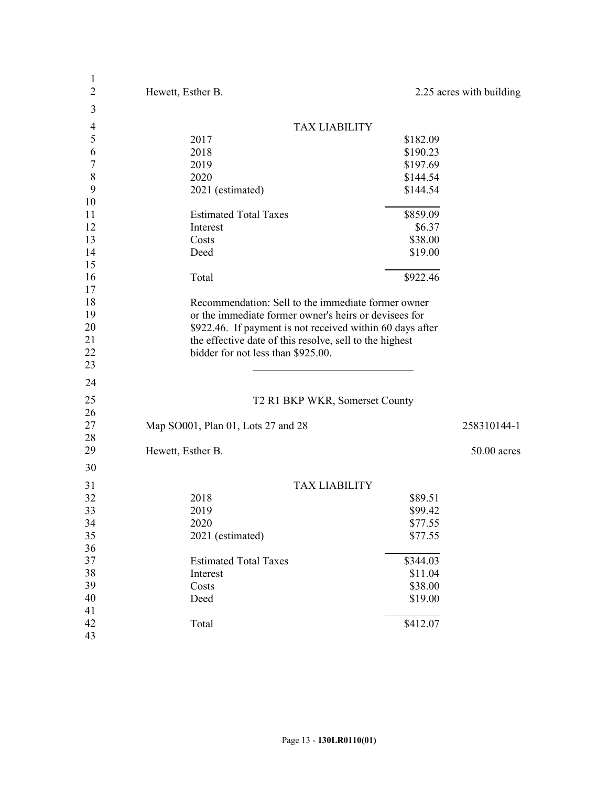| 1<br>2 |                                                           |                                                         |                          |  |
|--------|-----------------------------------------------------------|---------------------------------------------------------|--------------------------|--|
| 3      | Hewett, Esther B.                                         |                                                         | 2.25 acres with building |  |
| 4      | <b>TAX LIABILITY</b>                                      |                                                         |                          |  |
| 5      | 2017                                                      | \$182.09                                                |                          |  |
| 6      | 2018                                                      | \$190.23                                                |                          |  |
| 7      | 2019                                                      | \$197.69                                                |                          |  |
| 8      | 2020                                                      | \$144.54                                                |                          |  |
| 9      | 2021 (estimated)                                          | \$144.54                                                |                          |  |
| 10     |                                                           |                                                         |                          |  |
| 11     | <b>Estimated Total Taxes</b>                              | \$859.09                                                |                          |  |
| 12     | Interest                                                  | \$6.37                                                  |                          |  |
| 13     | Costs                                                     | \$38.00                                                 |                          |  |
| 14     | Deed                                                      | \$19.00                                                 |                          |  |
| 15     |                                                           |                                                         |                          |  |
| 16     | Total                                                     | \$922.46                                                |                          |  |
| 17     |                                                           |                                                         |                          |  |
| 18     | Recommendation: Sell to the immediate former owner        |                                                         |                          |  |
| 19     | or the immediate former owner's heirs or devisees for     |                                                         |                          |  |
| 20     | \$922.46. If payment is not received within 60 days after |                                                         |                          |  |
| 21     |                                                           | the effective date of this resolve, sell to the highest |                          |  |
| 22     | bidder for not less than \$925.00.                        |                                                         |                          |  |
| 23     |                                                           |                                                         |                          |  |
| 24     |                                                           |                                                         |                          |  |
| 25     | T2 R1 BKP WKR, Somerset County                            |                                                         |                          |  |
| 26     |                                                           |                                                         |                          |  |
| 27     | Map SO001, Plan 01, Lots 27 and 28                        |                                                         | 258310144-1              |  |
| 28     |                                                           |                                                         |                          |  |
| 29     | Hewett, Esther B.                                         |                                                         | 50.00 acres              |  |
| 30     |                                                           |                                                         |                          |  |
| 31     | <b>TAX LIABILITY</b>                                      |                                                         |                          |  |
| 32     | 2018                                                      | \$89.51                                                 |                          |  |
| 33     | 2019                                                      | \$99.42                                                 |                          |  |
| 34     | 2020                                                      | \$77.55                                                 |                          |  |
| 35     | 2021 (estimated)                                          | \$77.55                                                 |                          |  |
| 36     |                                                           |                                                         |                          |  |
| 37     | <b>Estimated Total Taxes</b>                              | \$344.03                                                |                          |  |
| 38     | Interest                                                  | \$11.04                                                 |                          |  |
| 39     | Costs                                                     | \$38.00                                                 |                          |  |
| 40     | Deed                                                      | \$19.00                                                 |                          |  |
| 41     |                                                           |                                                         |                          |  |
| 42     | Total                                                     | \$412.07                                                |                          |  |
| 43     |                                                           |                                                         |                          |  |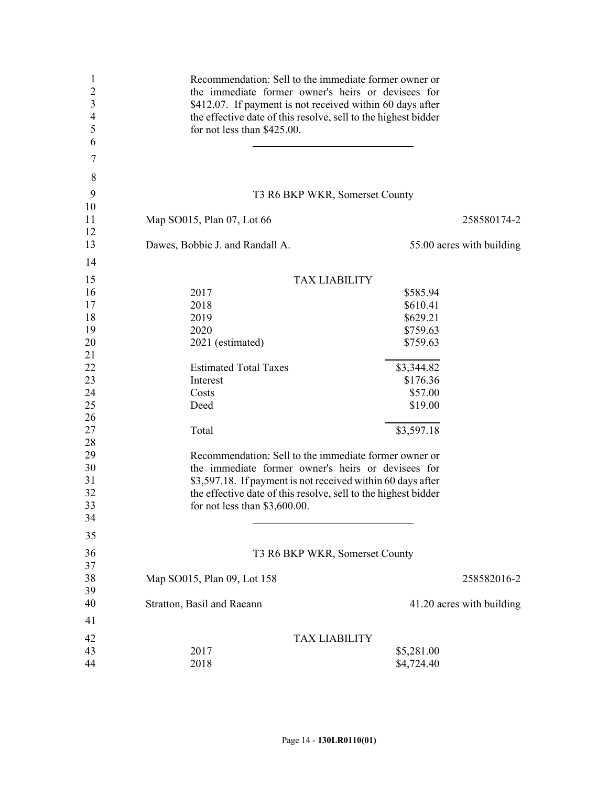| 1<br>$\overline{2}$<br>$\mathfrak{Z}$<br>$\overline{4}$<br>5<br>6<br>7 | Recommendation: Sell to the immediate former owner or<br>the immediate former owner's heirs or devisees for<br>\$412.07. If payment is not received within 60 days after<br>the effective date of this resolve, sell to the highest bidder<br>for not less than \$425.00. |                                |                           |
|------------------------------------------------------------------------|---------------------------------------------------------------------------------------------------------------------------------------------------------------------------------------------------------------------------------------------------------------------------|--------------------------------|---------------------------|
| 8                                                                      |                                                                                                                                                                                                                                                                           |                                |                           |
| 9                                                                      |                                                                                                                                                                                                                                                                           | T3 R6 BKP WKR, Somerset County |                           |
| 10<br>11<br>12                                                         | Map SO015, Plan 07, Lot 66                                                                                                                                                                                                                                                |                                | 258580174-2               |
| 13                                                                     | Dawes, Bobbie J. and Randall A.                                                                                                                                                                                                                                           |                                | 55.00 acres with building |
| 14                                                                     |                                                                                                                                                                                                                                                                           |                                |                           |
| 15                                                                     |                                                                                                                                                                                                                                                                           | <b>TAX LIABILITY</b>           |                           |
| 16                                                                     | 2017                                                                                                                                                                                                                                                                      | \$585.94                       |                           |
| 17                                                                     | 2018                                                                                                                                                                                                                                                                      | \$610.41                       |                           |
| 18                                                                     | 2019                                                                                                                                                                                                                                                                      | \$629.21                       |                           |
| 19                                                                     | 2020                                                                                                                                                                                                                                                                      | \$759.63                       |                           |
| 20<br>21                                                               | 2021 (estimated)                                                                                                                                                                                                                                                          | \$759.63                       |                           |
| 22                                                                     | <b>Estimated Total Taxes</b>                                                                                                                                                                                                                                              | \$3,344.82                     |                           |
| 23                                                                     | Interest                                                                                                                                                                                                                                                                  | \$176.36                       |                           |
| 24                                                                     | Costs                                                                                                                                                                                                                                                                     | \$57.00                        |                           |
| 25                                                                     | Deed                                                                                                                                                                                                                                                                      | \$19.00                        |                           |
| 26                                                                     |                                                                                                                                                                                                                                                                           |                                |                           |
| 27                                                                     | Total                                                                                                                                                                                                                                                                     | \$3,597.18                     |                           |
| 28                                                                     |                                                                                                                                                                                                                                                                           |                                |                           |
| 29                                                                     |                                                                                                                                                                                                                                                                           |                                |                           |
| 30                                                                     | Recommendation: Sell to the immediate former owner or<br>the immediate former owner's heirs or devisees for                                                                                                                                                               |                                |                           |
| 31                                                                     |                                                                                                                                                                                                                                                                           |                                |                           |
| 32                                                                     | \$3,597.18. If payment is not received within 60 days after                                                                                                                                                                                                               |                                |                           |
| 33                                                                     | the effective date of this resolve, sell to the highest bidder                                                                                                                                                                                                            |                                |                           |
| 34                                                                     | for not less than $$3,600.00$ .                                                                                                                                                                                                                                           |                                |                           |
| 35                                                                     |                                                                                                                                                                                                                                                                           |                                |                           |
| 36                                                                     | T3 R6 BKP WKR, Somerset County                                                                                                                                                                                                                                            |                                |                           |
| 37                                                                     |                                                                                                                                                                                                                                                                           |                                |                           |
| 38                                                                     | Map SO015, Plan 09, Lot 158                                                                                                                                                                                                                                               |                                | 258582016-2               |
| 39                                                                     |                                                                                                                                                                                                                                                                           |                                |                           |
| 40                                                                     | Stratton, Basil and Raeann                                                                                                                                                                                                                                                |                                | 41.20 acres with building |
| 41                                                                     |                                                                                                                                                                                                                                                                           |                                |                           |
| 42                                                                     | <b>TAX LIABILITY</b>                                                                                                                                                                                                                                                      |                                |                           |
| 43                                                                     | 2017                                                                                                                                                                                                                                                                      | \$5,281.00                     |                           |
| 44                                                                     | 2018                                                                                                                                                                                                                                                                      | \$4,724.40                     |                           |
|                                                                        |                                                                                                                                                                                                                                                                           |                                |                           |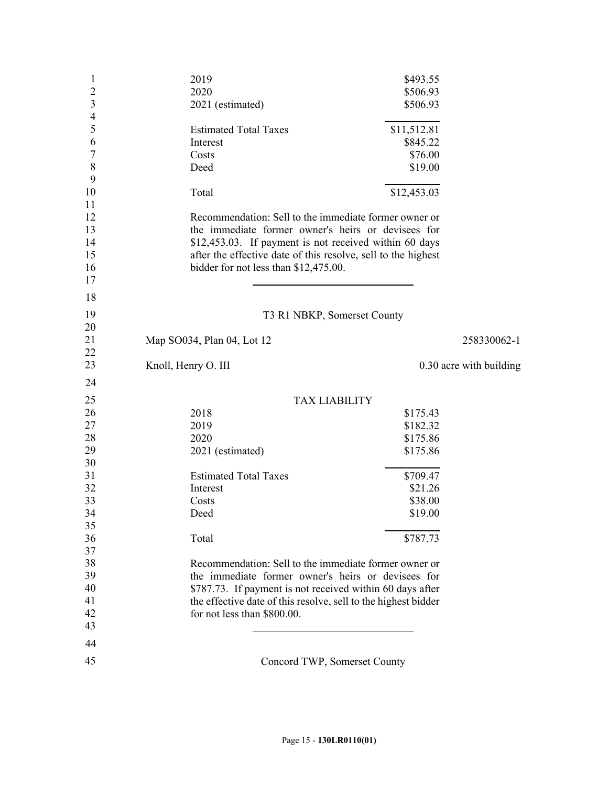| 1                        | 2019                                                           | \$493.55                |  |
|--------------------------|----------------------------------------------------------------|-------------------------|--|
| $\overline{2}$           | 2020                                                           | \$506.93                |  |
| $\mathfrak{Z}$           | 2021 (estimated)                                               | \$506.93                |  |
| $\overline{\mathcal{A}}$ |                                                                |                         |  |
| 5                        | <b>Estimated Total Taxes</b>                                   | \$11,512.81             |  |
| 6                        | Interest                                                       | \$845.22                |  |
| $\tau$                   | Costs                                                          | \$76.00                 |  |
| $\,8\,$                  | Deed                                                           | \$19.00                 |  |
| 9                        |                                                                |                         |  |
| 10                       | Total                                                          | \$12,453.03             |  |
| 11                       |                                                                |                         |  |
| 12                       | Recommendation: Sell to the immediate former owner or          |                         |  |
| 13                       | the immediate former owner's heirs or devisees for             |                         |  |
| 14                       | \$12,453.03. If payment is not received within 60 days         |                         |  |
| 15                       | after the effective date of this resolve, sell to the highest  |                         |  |
| 16                       | bidder for not less than \$12,475.00.                          |                         |  |
| 17                       |                                                                |                         |  |
| 18                       |                                                                |                         |  |
| 19                       | T3 R1 NBKP, Somerset County                                    |                         |  |
| 20                       |                                                                |                         |  |
| 21                       | Map SO034, Plan 04, Lot 12                                     | 258330062-1             |  |
| 22                       |                                                                |                         |  |
| 23                       | Knoll, Henry O. III                                            | 0.30 acre with building |  |
|                          |                                                                |                         |  |
| 24                       |                                                                |                         |  |
| 25                       | <b>TAX LIABILITY</b>                                           |                         |  |
| 26                       | 2018                                                           | \$175.43                |  |
| 27                       | 2019                                                           | \$182.32                |  |
| 28                       | 2020                                                           | \$175.86                |  |
| 29                       | 2021 (estimated)                                               | \$175.86                |  |
| 30                       |                                                                |                         |  |
| 31                       | <b>Estimated Total Taxes</b>                                   | \$709.47                |  |
| 32                       | Interest                                                       | \$21.26                 |  |
| 33                       | Costs                                                          | \$38.00                 |  |
| 34                       | Deed                                                           | \$19.00                 |  |
| 35                       |                                                                |                         |  |
| 36                       | Total                                                          | \$787.73                |  |
| 37                       |                                                                |                         |  |
| 38                       | Recommendation: Sell to the immediate former owner or          |                         |  |
| 39                       | the immediate former owner's heirs or devisees for             |                         |  |
| 40                       | \$787.73. If payment is not received within 60 days after      |                         |  |
| 41                       | the effective date of this resolve, sell to the highest bidder |                         |  |
| 42                       | for not less than \$800.00.                                    |                         |  |
| 43                       |                                                                |                         |  |
| 44                       |                                                                |                         |  |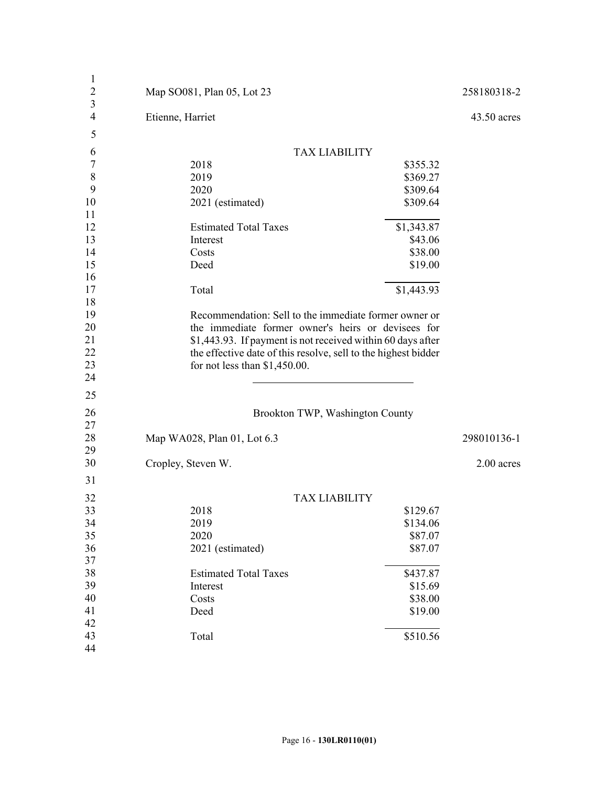| $\mathbf{1}$<br>$\overline{2}$ | Map SO081, Plan 05, Lot 23                                     |            | 258180318-2 |
|--------------------------------|----------------------------------------------------------------|------------|-------------|
| 3                              |                                                                |            |             |
| 4                              | Etienne, Harriet                                               |            | 43.50 acres |
| 5                              |                                                                |            |             |
| 6                              | <b>TAX LIABILITY</b>                                           |            |             |
| 7                              | 2018                                                           | \$355.32   |             |
| 8                              | 2019                                                           | \$369.27   |             |
| 9                              | 2020                                                           | \$309.64   |             |
| 10                             | 2021 (estimated)                                               | \$309.64   |             |
| 11                             |                                                                |            |             |
| 12                             | <b>Estimated Total Taxes</b>                                   | \$1,343.87 |             |
| 13                             | Interest                                                       | \$43.06    |             |
| 14                             | Costs                                                          | \$38.00    |             |
| 15                             | Deed                                                           | \$19.00    |             |
| 16                             |                                                                |            |             |
| 17                             | Total                                                          | \$1,443.93 |             |
| 18                             |                                                                |            |             |
| 19                             | Recommendation: Sell to the immediate former owner or          |            |             |
| 20                             | the immediate former owner's heirs or devisees for             |            |             |
| 21                             | \$1,443.93. If payment is not received within 60 days after    |            |             |
| 22                             | the effective date of this resolve, sell to the highest bidder |            |             |
| 23                             | for not less than $$1,450.00$ .                                |            |             |
| 24                             |                                                                |            |             |
| 25                             |                                                                |            |             |
| 26<br>27                       | Brookton TWP, Washington County                                |            |             |
| 28                             | Map WA028, Plan 01, Lot 6.3                                    |            | 298010136-1 |
| 29                             |                                                                |            |             |
| 30                             | Cropley, Steven W.                                             |            | 2.00 acres  |
| 31                             |                                                                |            |             |
| 32                             | <b>TAX LIABILITY</b>                                           |            |             |
| 33                             | 2018                                                           | \$129.67   |             |
| 34                             | 2019                                                           | \$134.06   |             |
| 35                             | 2020                                                           | \$87.07    |             |
| 36                             | 2021 (estimated)                                               | \$87.07    |             |
| 37                             |                                                                |            |             |
| 38                             | <b>Estimated Total Taxes</b>                                   | \$437.87   |             |
| 39                             | Interest                                                       | \$15.69    |             |
| 40                             | Costs                                                          | \$38.00    |             |
| 41                             | Deed                                                           | \$19.00    |             |
| 42                             |                                                                |            |             |
| 43                             | Total                                                          | \$510.56   |             |
| 44                             |                                                                |            |             |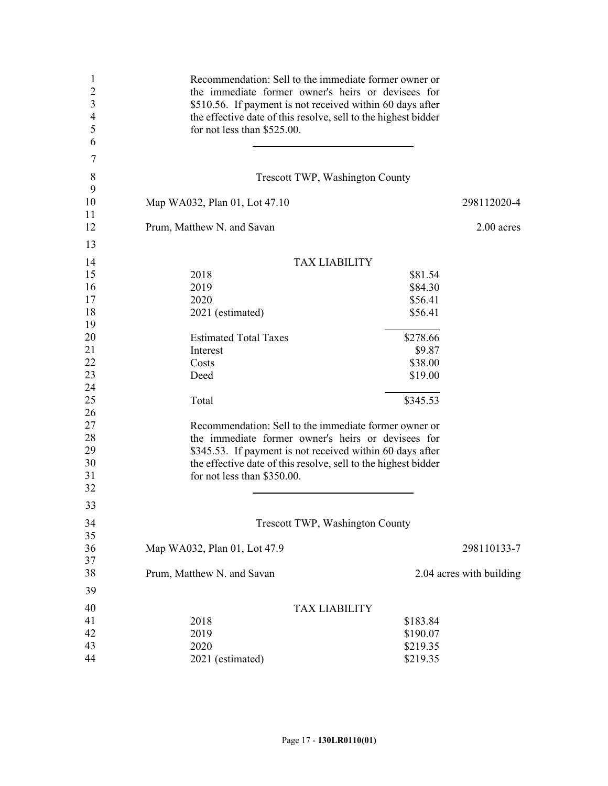| 1              | Recommendation: Sell to the immediate former owner or                                                                       |                          |  |
|----------------|-----------------------------------------------------------------------------------------------------------------------------|--------------------------|--|
| 2              | the immediate former owner's heirs or devisees for                                                                          |                          |  |
| 3              | \$510.56. If payment is not received within 60 days after                                                                   |                          |  |
| $\overline{4}$ | the effective date of this resolve, sell to the highest bidder                                                              |                          |  |
| 5              | for not less than \$525.00.                                                                                                 |                          |  |
| 6              |                                                                                                                             |                          |  |
| 7              |                                                                                                                             |                          |  |
| 8              | Trescott TWP, Washington County                                                                                             |                          |  |
| 9              |                                                                                                                             |                          |  |
| 10             | Map WA032, Plan 01, Lot 47.10                                                                                               | 298112020-4              |  |
| 11             |                                                                                                                             |                          |  |
| 12             | Prum, Matthew N. and Savan                                                                                                  | 2.00 acres               |  |
| 13             |                                                                                                                             |                          |  |
| 14             | <b>TAX LIABILITY</b>                                                                                                        |                          |  |
| 15             | 2018                                                                                                                        | \$81.54                  |  |
| 16             | 2019                                                                                                                        | \$84.30                  |  |
| 17             | 2020                                                                                                                        | \$56.41                  |  |
| 18             | 2021 (estimated)                                                                                                            | \$56.41                  |  |
| 19             |                                                                                                                             |                          |  |
| 20             | <b>Estimated Total Taxes</b>                                                                                                | \$278.66                 |  |
| 21             | Interest                                                                                                                    | \$9.87                   |  |
| 22             | Costs                                                                                                                       | \$38.00                  |  |
| 23             | Deed                                                                                                                        | \$19.00                  |  |
| 24             |                                                                                                                             |                          |  |
| 25             | Total                                                                                                                       | \$345.53                 |  |
| 26<br>27       | Recommendation: Sell to the immediate former owner or                                                                       |                          |  |
| 28             |                                                                                                                             |                          |  |
| 29             | the immediate former owner's heirs or devisees for                                                                          |                          |  |
| 30             | \$345.53. If payment is not received within 60 days after<br>the effective date of this resolve, sell to the highest bidder |                          |  |
| 31             | for not less than \$350.00.                                                                                                 |                          |  |
| 32             |                                                                                                                             |                          |  |
| 33             |                                                                                                                             |                          |  |
| 34             | Trescott TWP, Washington County                                                                                             |                          |  |
| 35             |                                                                                                                             |                          |  |
| 36             | Map WA032, Plan 01, Lot 47.9                                                                                                | 298110133-7              |  |
| 37             |                                                                                                                             |                          |  |
| 38             | Prum, Matthew N. and Savan                                                                                                  | 2.04 acres with building |  |
| 39             |                                                                                                                             |                          |  |
| 40             | <b>TAX LIABILITY</b>                                                                                                        |                          |  |
| 41             | 2018                                                                                                                        | \$183.84                 |  |
| 42             | 2019                                                                                                                        | \$190.07                 |  |
| 43             | 2020                                                                                                                        | \$219.35                 |  |
| 44             | 2021 (estimated)                                                                                                            | \$219.35                 |  |